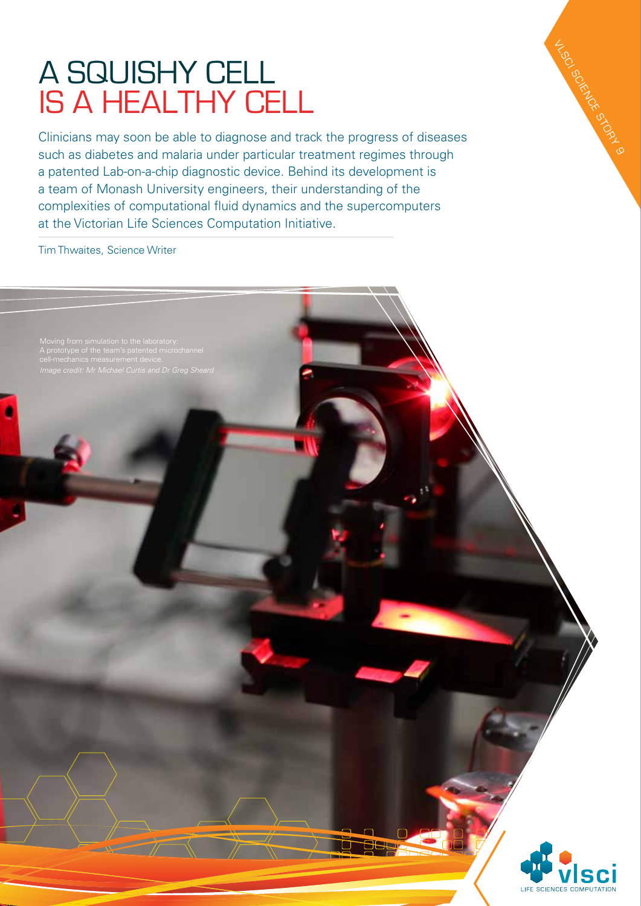## A squishy cell is a healthy cell

Clinicians may soon be able to diagnose and track the progress of diseases such as diabetes and malaria under particular treatment regimes through a patented Lab-on-a-chip diagnostic device. Behind its development is a team of Monash University engineers, their understanding of the complexities of computational fluid dynamics and the supercomputers at the Victorian Life Sciences Computation Initiative.

Tim Thwaites, Science Writer

Moving from simulation to the laboratory:



**VLSCI** 

SCIENCE STORY 9